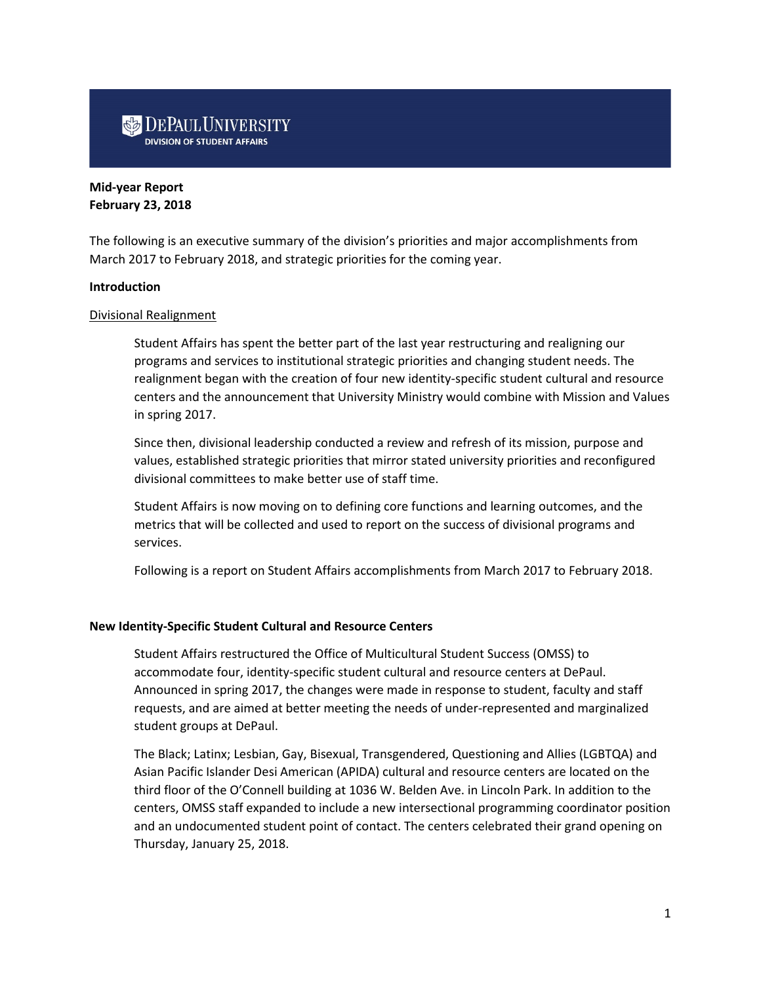# **DEPAUL UNIVERSITY**

# **Mid-year Report February 23, 2018**

The following is an executive summary of the division's priorities and major accomplishments from March 2017 to February 2018, and strategic priorities for the coming year.

## **Introduction**

## Divisional Realignment

Student Affairs has spent the better part of the last year restructuring and realigning our programs and services to institutional strategic priorities and changing student needs. The realignment began with the creation of four new identity-specific student cultural and resource centers and the announcement that University Ministry would combine with Mission and Values in spring 2017.

Since then, divisional leadership conducted a review and refresh of its mission, purpose and values, established strategic priorities that mirror stated university priorities and reconfigured divisional committees to make better use of staff time.

Student Affairs is now moving on to defining core functions and learning outcomes, and the metrics that will be collected and used to report on the success of divisional programs and services.

Following is a report on Student Affairs accomplishments from March 2017 to February 2018.

## **New Identity-Specific Student Cultural and Resource Centers**

Student Affairs restructured the Office of Multicultural Student Success (OMSS) to accommodate four, identity-specific student cultural and resource centers at DePaul. Announced in spring 2017, the changes were made in response to student, faculty and staff requests, and are aimed at better meeting the needs of under-represented and marginalized student groups at DePaul.

The Black; Latinx; Lesbian, Gay, Bisexual, Transgendered, Questioning and Allies (LGBTQA) and Asian Pacific Islander Desi American (APIDA) cultural and resource centers are located on the third floor of the O'Connell building at 1036 W. Belden Ave. in Lincoln Park. In addition to the centers, OMSS staff expanded to include a new intersectional programming coordinator position and an undocumented student point of contact. The centers celebrated their grand opening on Thursday, January 25, 2018.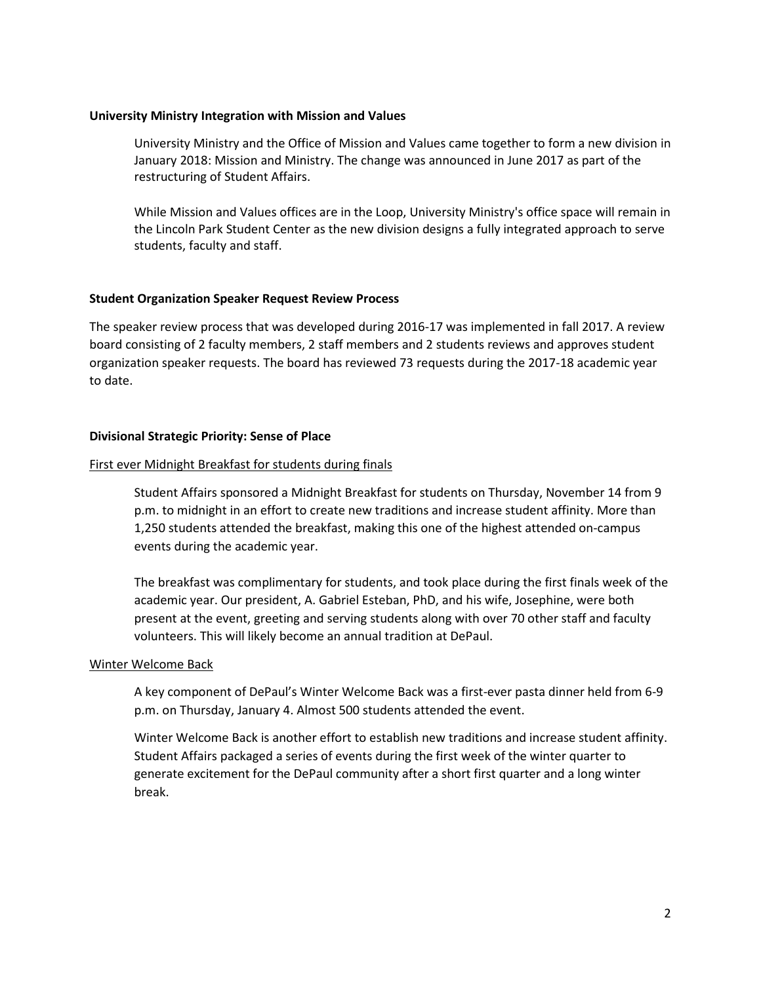## **University Ministry Integration with Mission and Values**

University Ministry and the Office of Mission and Values came together to form a new division in January 2018: Mission and Ministry. The change was announced in June 2017 as part of the restructuring of Student Affairs.

While Mission and Values offices are in the Loop, University Ministry's office space will remain in the Lincoln Park Student Center as the new division designs a fully integrated approach to serve students, faculty and staff.

## **Student Organization Speaker Request Review Process**

The speaker review process that was developed during 2016-17 was implemented in fall 2017. A review board consisting of 2 faculty members, 2 staff members and 2 students reviews and approves student organization speaker requests. The board has reviewed 73 requests during the 2017-18 academic year to date.

## **Divisional Strategic Priority: Sense of Place**

## First ever Midnight Breakfast for students during finals

Student Affairs sponsored a Midnight Breakfast for students on Thursday, November 14 from 9 p.m. to midnight in an effort to create new traditions and increase student affinity. More than 1,250 students attended the breakfast, making this one of the highest attended on-campus events during the academic year.

The breakfast was complimentary for students, and took place during the first finals week of the academic year. Our president, A. Gabriel Esteban, PhD, and his wife, Josephine, were both present at the event, greeting and serving students along with over 70 other staff and faculty volunteers. This will likely become an annual tradition at DePaul.

#### Winter Welcome Back

A key component of DePaul's Winter Welcome Back was a first-ever pasta dinner held from 6-9 p.m. on Thursday, January 4. Almost 500 students attended the event.

Winter Welcome Back is another effort to establish new traditions and increase student affinity. Student Affairs packaged a series of events during the first week of the winter quarter to generate excitement for the DePaul community after a short first quarter and a long winter break.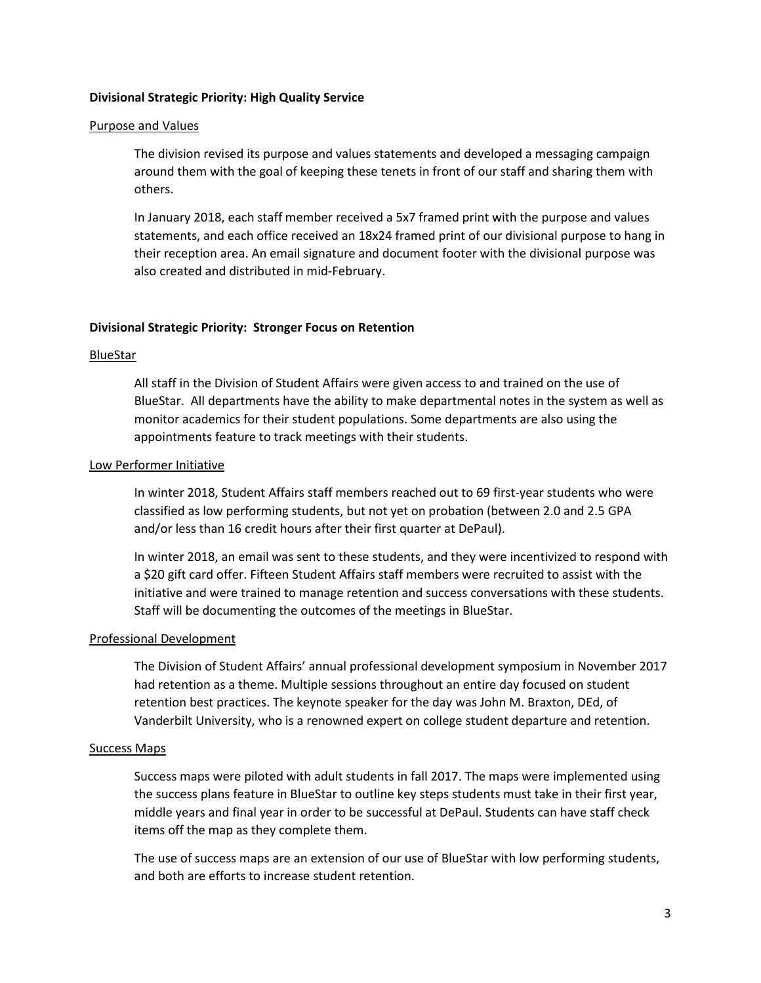#### **Divisional Strategic Priority: High Quality Service**

#### Purpose and Values

The division revised its purpose and values statements and developed a messaging campaign around them with the goal of keeping these tenets in front of our staff and sharing them with others.

In January 2018, each staff member received a 5x7 framed print with the purpose and values statements, and each office received an 18x24 framed print of our divisional purpose to hang in their reception area. An email signature and document footer with the divisional purpose was also created and distributed in mid-February.

#### **Divisional Strategic Priority: Stronger Focus on Retention**

### BlueStar

All staff in the Division of Student Affairs were given access to and trained on the use of BlueStar. All departments have the ability to make departmental notes in the system as well as monitor academics for their student populations. Some departments are also using the appointments feature to track meetings with their students.

#### Low Performer Initiative

In winter 2018, Student Affairs staff members reached out to 69 first-year students who were classified as low performing students, but not yet on probation (between 2.0 and 2.5 GPA and/or less than 16 credit hours after their first quarter at DePaul).

In winter 2018, an email was sent to these students, and they were incentivized to respond with a \$20 gift card offer. Fifteen Student Affairs staff members were recruited to assist with the initiative and were trained to manage retention and success conversations with these students. Staff will be documenting the outcomes of the meetings in BlueStar.

#### Professional Development

The Division of Student Affairs' annual professional development symposium in November 2017 had retention as a theme. Multiple sessions throughout an entire day focused on student retention best practices. The keynote speaker for the day was John M. Braxton, DEd, of Vanderbilt University, who is a renowned expert on college student departure and retention.

#### Success Maps

Success maps were piloted with adult students in fall 2017. The maps were implemented using the success plans feature in BlueStar to outline key steps students must take in their first year, middle years and final year in order to be successful at DePaul. Students can have staff check items off the map as they complete them.

The use of success maps are an extension of our use of BlueStar with low performing students, and both are efforts to increase student retention.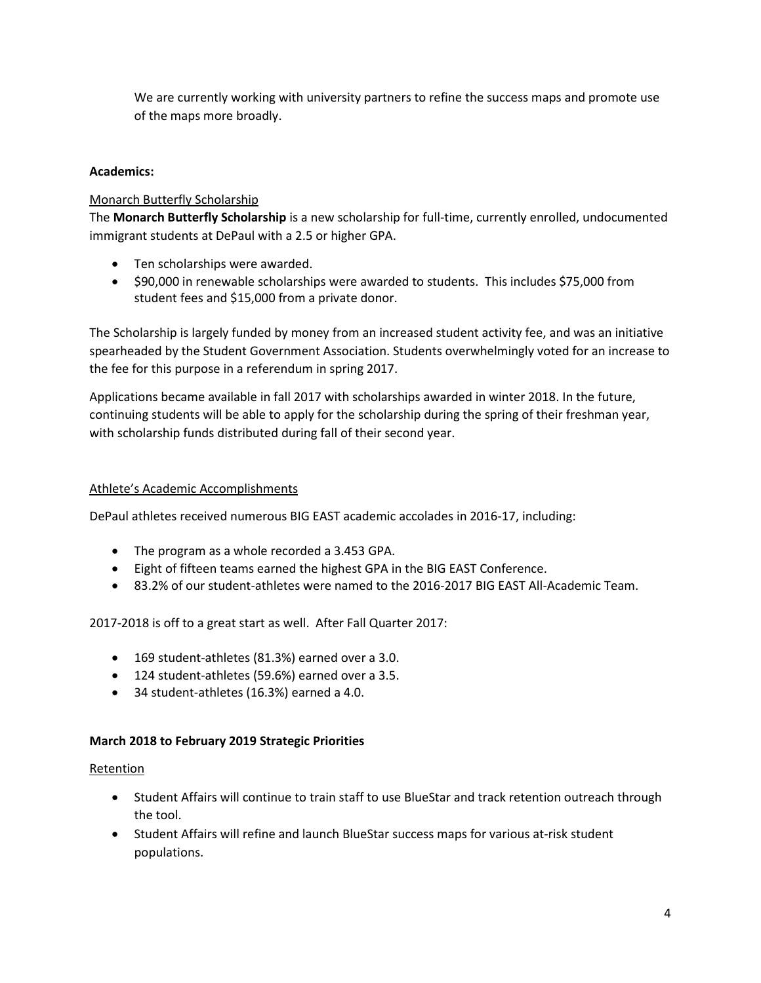We are currently working with university partners to refine the success maps and promote use of the maps more broadly.

# **Academics:**

# Monarch Butterfly Scholarship

The **Monarch Butterfly Scholarship** is a new scholarship for full-time, currently enrolled, undocumented immigrant students at DePaul with a 2.5 or higher GPA.

- Ten scholarships were awarded.
- \$90,000 in renewable scholarships were awarded to students. This includes \$75,000 from student fees and \$15,000 from a private donor.

The Scholarship is largely funded by money from an increased student activity fee, and was an initiative spearheaded by the Student Government Association. Students overwhelmingly voted for an increase to the fee for this purpose in a referendum in spring 2017.

Applications became available in fall 2017 with scholarships awarded in winter 2018. In the future, continuing students will be able to apply for the scholarship during the spring of their freshman year, with scholarship funds distributed during fall of their second year.

# Athlete's Academic Accomplishments

DePaul athletes received numerous BIG EAST academic accolades in 2016-17, including:

- The program as a whole recorded a 3.453 GPA.
- Eight of fifteen teams earned the highest GPA in the BIG EAST Conference.
- 83.2% of our student-athletes were named to the 2016-2017 BIG EAST All-Academic Team.

2017-2018 is off to a great start as well. After Fall Quarter 2017:

- 169 student-athletes (81.3%) earned over a 3.0.
- 124 student-athletes (59.6%) earned over a 3.5.
- 34 student-athletes (16.3%) earned a 4.0.

# **March 2018 to February 2019 Strategic Priorities**

# Retention

- Student Affairs will continue to train staff to use BlueStar and track retention outreach through the tool.
- Student Affairs will refine and launch BlueStar success maps for various at-risk student populations.